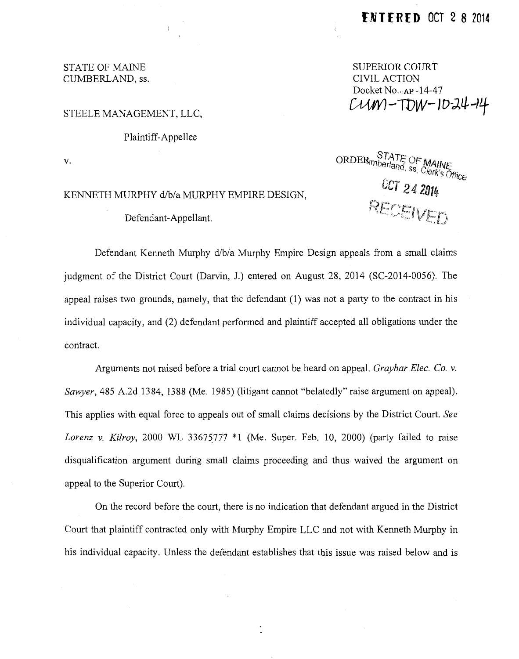### STATE OF MAINE CUMBERLAND, ss.

## SUPERIOR COURT CIVIL ACTION Docket No... Ap -14-47  $CUM-TDW-10-34-14$

#### STEELE MANAGEMENT, LLC,

#### Plaintiff-Appellee

v.

# KENNETH MURPHY d/b/a MURPHY EMPIRE DESIGN,

Defendant-Appellant.

**ORDER** STATE OF MAINE<br>ORDER *Interland*, ss, Clerk's Office OCT 24 2014

Defendant Kenneth Murphy d/b/a Murphy Empire Design appeals from a small claims judgment of the District Court (Darvin, J.) entered on August 28, 2014 (SC-2014-0056). The appeal raises two grounds, namely, that the defendant (1) was not a party to the contract in his individual capacity, and (2) defendant performed and plaintiff accepted all obligations under the contract.

Arguments not raised before a trial court cannot be heard on appeal. *Graybar Elec. Co. v. Sawyer,* 485 A.2d 1384, 1388 (Me. 1985) (litigant cannot "belatedly" raise argument on appeal). This applies with equal force to appeals out of small claims decisions by the District Court. *See Lorenz v. Kilroy,* 2000 WL 33675777 \*1 (Me. Super. Feb. 10, 2000) (party failed to raise disqualification argument during small claims proceeding and thus waived the argument on appeal to the Superior Court).

On the record before the court, there is no indication that defendant argued in the District Court that plaintiff contracted only with Murphy Empire LLC and not with Kenneth Murphy in his individual capacity. Unless the defendant establishes that this issue was raised below and is